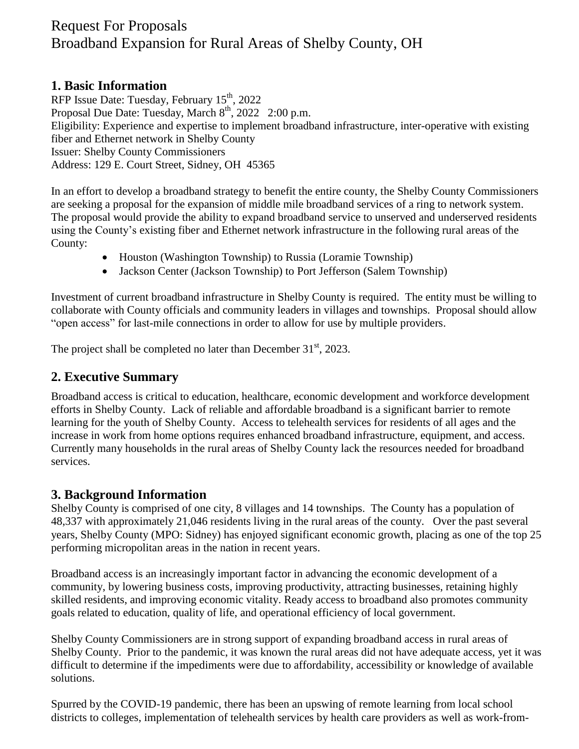# Request For Proposals Broadband Expansion for Rural Areas of Shelby County, OH

#### **1. Basic Information**

RFP Issue Date: Tuesday, February  $15^{th}$ , 2022 Proposal Due Date: Tuesday, March 8<sup>th</sup>, 2022 2:00 p.m. Eligibility: Experience and expertise to implement broadband infrastructure, inter-operative with existing fiber and Ethernet network in Shelby County Issuer: Shelby County Commissioners Address: 129 E. Court Street, Sidney, OH 45365

In an effort to develop a broadband strategy to benefit the entire county, the Shelby County Commissioners are seeking a proposal for the expansion of middle mile broadband services of a ring to network system. The proposal would provide the ability to expand broadband service to unserved and underserved residents using the County's existing fiber and Ethernet network infrastructure in the following rural areas of the County:

- Houston (Washington Township) to Russia (Loramie Township)
- Jackson Center (Jackson Township) to Port Jefferson (Salem Township)

Investment of current broadband infrastructure in Shelby County is required. The entity must be willing to collaborate with County officials and community leaders in villages and townships.Proposal should allow "open access" for last-mile connections in order to allow for use by multiple providers.

The project shall be completed no later than December  $31<sup>st</sup>$ , 2023.

## **2. Executive Summary**

Broadband access is critical to education, healthcare, economic development and workforce development efforts in Shelby County. Lack of reliable and affordable broadband is a significant barrier to remote learning for the youth of Shelby County. Access to telehealth services for residents of all ages and the increase in work from home options requires enhanced broadband infrastructure, equipment, and access. Currently many households in the rural areas of Shelby County lack the resources needed for broadband services.

## **3. Background Information**

Shelby County is comprised of one city, 8 villages and 14 townships. The County has a population of 48,337 with approximately 21,046 residents living in the rural areas of the county. Over the past several years, Shelby County (MPO: Sidney) has enjoyed significant economic growth, placing as one of the top 25 performing micropolitan areas in the nation in recent years.

Broadband access is an increasingly important factor in advancing the economic development of a community, by lowering business costs, improving productivity, attracting businesses, retaining highly skilled residents, and improving economic vitality. Ready access to broadband also promotes community goals related to education, quality of life, and operational efficiency of local government.

Shelby County Commissioners are in strong support of expanding broadband access in rural areas of Shelby County. Prior to the pandemic, it was known the rural areas did not have adequate access, yet it was difficult to determine if the impediments were due to affordability, accessibility or knowledge of available solutions.

Spurred by the COVID-19 pandemic, there has been an upswing of remote learning from local school districts to colleges, implementation of telehealth services by health care providers as well as work-from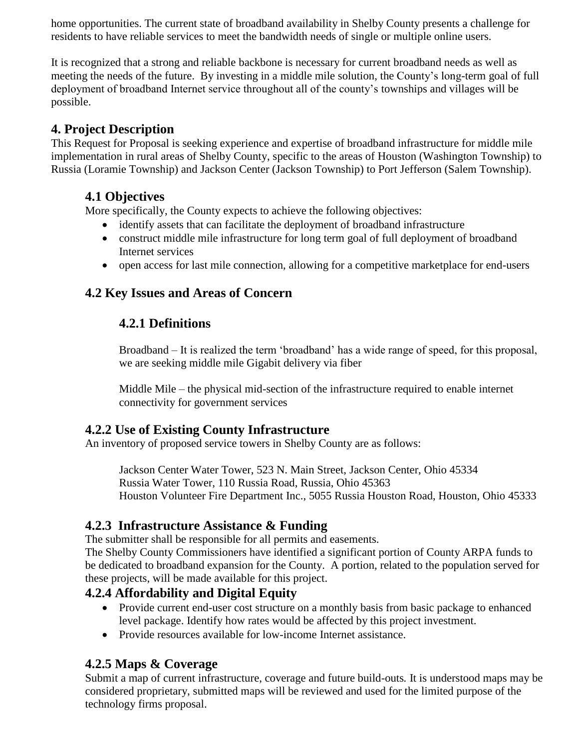home opportunities. The current state of broadband availability in Shelby County presents a challenge for residents to have reliable services to meet the bandwidth needs of single or multiple online users.

It is recognized that a strong and reliable backbone is necessary for current broadband needs as well as meeting the needs of the future. By investing in a middle mile solution, the County's long-term goal of full deployment of broadband Internet service throughout all of the county's townships and villages will be possible.

## **4. Project Description**

This Request for Proposal is seeking experience and expertise of broadband infrastructure for middle mile implementation in rural areas of Shelby County, specific to the areas of Houston (Washington Township) to Russia (Loramie Township) and Jackson Center (Jackson Township) to Port Jefferson (Salem Township).

## **4.1 Objectives**

More specifically, the County expects to achieve the following objectives:

- identify assets that can facilitate the deployment of broadband infrastructure
- construct middle mile infrastructure for long term goal of full deployment of broadband Internet services
- open access for last mile connection, allowing for a competitive marketplace for end-users

## **4.2 Key Issues and Areas of Concern**

## **4.2.1 Definitions**

Broadband – It is realized the term 'broadband' has a wide range of speed, for this proposal, we are seeking middle mile Gigabit delivery via fiber

Middle Mile – the physical mid-section of the infrastructure required to enable internet connectivity for government services

## **4.2.2 Use of Existing County Infrastructure**

An inventory of proposed service towers in Shelby County are as follows:

Jackson Center Water Tower, 523 N. Main Street, Jackson Center, Ohio 45334 Russia Water Tower, 110 Russia Road, Russia, Ohio 45363 Houston Volunteer Fire Department Inc., 5055 Russia Houston Road, Houston, Ohio 45333

## **4.2.3 Infrastructure Assistance & Funding**

The submitter shall be responsible for all permits and easements.

The Shelby County Commissioners have identified a significant portion of County ARPA funds to be dedicated to broadband expansion for the County. A portion, related to the population served for these projects, will be made available for this project.

## **4.2.4 Affordability and Digital Equity**

- Provide current end-user cost structure on a monthly basis from basic package to enhanced level package. Identify how rates would be affected by this project investment.
- Provide resources available for low-income Internet assistance.

## **4.2.5 Maps & Coverage**

Submit a map of current infrastructure, coverage and future build-outs*.* It is understood maps may be considered proprietary, submitted maps will be reviewed and used for the limited purpose of the technology firms proposal.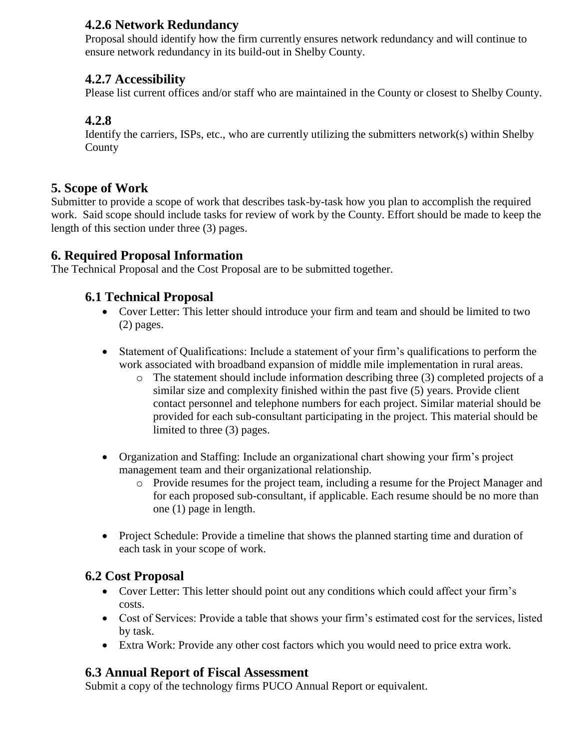## **4.2.6 Network Redundancy**

Proposal should identify how the firm currently ensures network redundancy and will continue to ensure network redundancy in its build-out in Shelby County.

## **4.2.7 Accessibility**

Please list current offices and/or staff who are maintained in the County or closest to Shelby County.

## **4.2.8**

Identify the carriers, ISPs, etc., who are currently utilizing the submitters network(s) within Shelby **County** 

## **5. Scope of Work**

Submitter to provide a scope of work that describes task-by-task how you plan to accomplish the required work. Said scope should include tasks for review of work by the County. Effort should be made to keep the length of this section under three (3) pages.

## **6. Required Proposal Information**

The Technical Proposal and the Cost Proposal are to be submitted together.

## **6.1 Technical Proposal**

- Cover Letter: This letter should introduce your firm and team and should be limited to two (2) pages.
- Statement of Qualifications: Include a statement of your firm's qualifications to perform the work associated with broadband expansion of middle mile implementation in rural areas.
	- o The statement should include information describing three (3) completed projects of a similar size and complexity finished within the past five (5) years. Provide client contact personnel and telephone numbers for each project. Similar material should be provided for each sub-consultant participating in the project. This material should be limited to three (3) pages.
- Organization and Staffing: Include an organizational chart showing your firm's project management team and their organizational relationship.
	- o Provide resumes for the project team, including a resume for the Project Manager and for each proposed sub-consultant, if applicable. Each resume should be no more than one (1) page in length.
- Project Schedule: Provide a timeline that shows the planned starting time and duration of each task in your scope of work.

## **6.2 Cost Proposal**

- Cover Letter: This letter should point out any conditions which could affect your firm's costs.
- Cost of Services: Provide a table that shows your firm's estimated cost for the services, listed by task.
- Extra Work: Provide any other cost factors which you would need to price extra work.

## **6.3 Annual Report of Fiscal Assessment**

Submit a copy of the technology firms PUCO Annual Report or equivalent.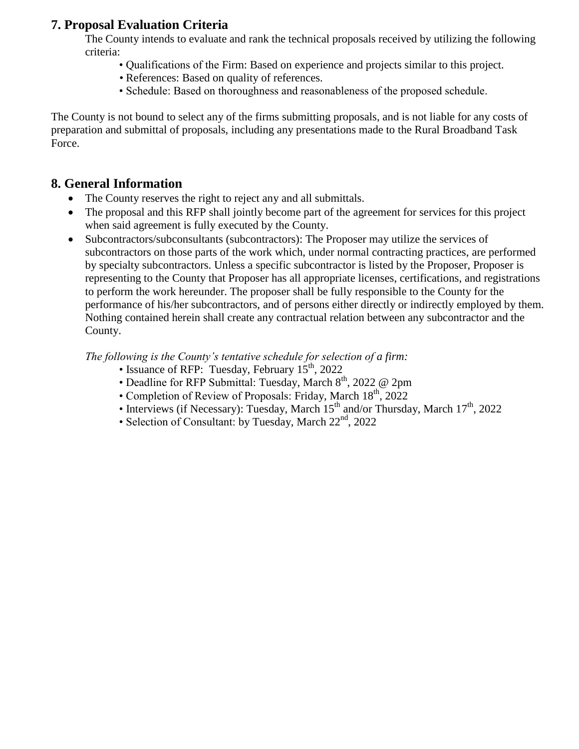## **7. Proposal Evaluation Criteria**

The County intends to evaluate and rank the technical proposals received by utilizing the following criteria:

- Qualifications of the Firm: Based on experience and projects similar to this project.
- References: Based on quality of references.
- Schedule: Based on thoroughness and reasonableness of the proposed schedule.

The County is not bound to select any of the firms submitting proposals, and is not liable for any costs of preparation and submittal of proposals, including any presentations made to the Rural Broadband Task Force.

## **8. General Information**

- The County reserves the right to reject any and all submittals.
- The proposal and this RFP shall jointly become part of the agreement for services for this project when said agreement is fully executed by the County.
- Subcontractors/subconsultants (subcontractors): The Proposer may utilize the services of subcontractors on those parts of the work which, under normal contracting practices, are performed by specialty subcontractors. Unless a specific subcontractor is listed by the Proposer, Proposer is representing to the County that Proposer has all appropriate licenses, certifications, and registrations to perform the work hereunder. The proposer shall be fully responsible to the County for the performance of his/her subcontractors, and of persons either directly or indirectly employed by them. Nothing contained herein shall create any contractual relation between any subcontractor and the County.

*The following is the County's tentative schedule for selection of a firm:*

- Issuance of RFP: Tuesday, February  $15<sup>th</sup>$ , 2022
- Deadline for RFP Submittal: Tuesday, March  $8<sup>th</sup>$ , 2022 @ 2pm
- Completion of Review of Proposals: Friday, March 18<sup>th</sup>, 2022
- Interviews (if Necessary): Tuesday, March  $15<sup>th</sup>$  and/or Thursday, March  $17<sup>th</sup>$ , 2022
- Selection of Consultant: by Tuesday, March  $22<sup>nd</sup>$ , 2022